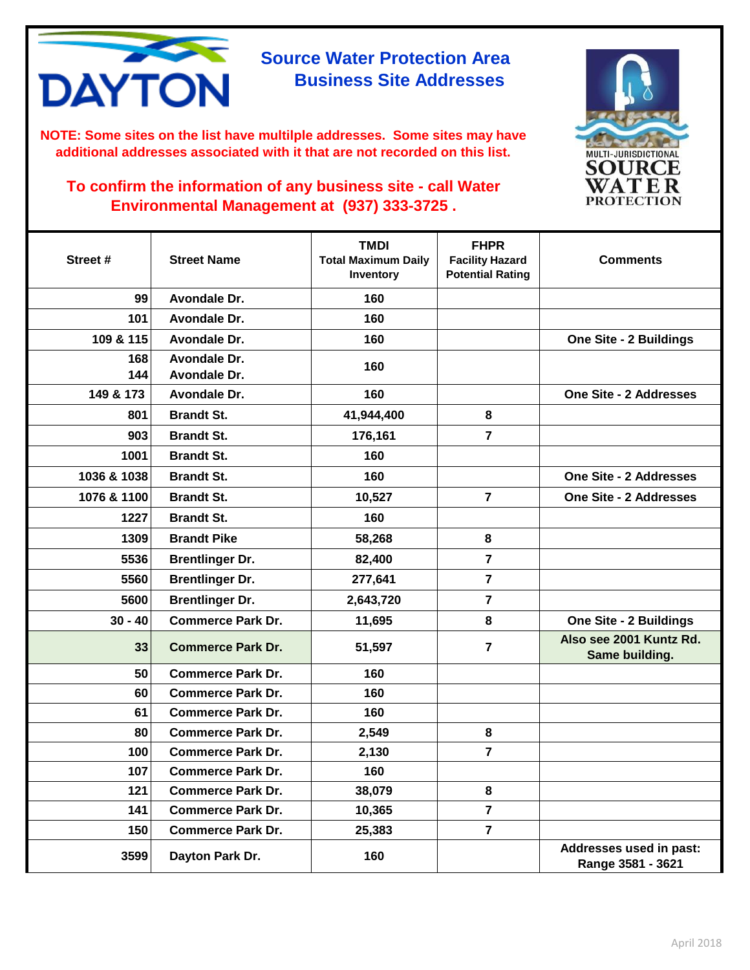

**NOTE: Some sites on the list have multilple addresses. Some sites may have additional addresses associated with it that are not recorded on this list.** 



| Street #    | <b>Street Name</b>       | <b>TMDI</b><br><b>Total Maximum Daily</b><br>Inventory | <b>FHPR</b><br><b>Facility Hazard</b><br><b>Potential Rating</b> | <b>Comments</b>                              |
|-------------|--------------------------|--------------------------------------------------------|------------------------------------------------------------------|----------------------------------------------|
| 99          | Avondale Dr.             | 160                                                    |                                                                  |                                              |
| 101         | Avondale Dr.             | 160                                                    |                                                                  |                                              |
| 109 & 115   | Avondale Dr.             | 160                                                    |                                                                  | <b>One Site - 2 Buildings</b>                |
| 168         | Avondale Dr.             | 160                                                    |                                                                  |                                              |
| 144         | Avondale Dr.             |                                                        |                                                                  |                                              |
| 149 & 173   | Avondale Dr.             | 160                                                    |                                                                  | <b>One Site - 2 Addresses</b>                |
| 801         | <b>Brandt St.</b>        | 41,944,400                                             | 8                                                                |                                              |
| 903         | <b>Brandt St.</b>        | 176,161                                                | $\overline{7}$                                                   |                                              |
| 1001        | <b>Brandt St.</b>        | 160                                                    |                                                                  |                                              |
| 1036 & 1038 | <b>Brandt St.</b>        | 160                                                    |                                                                  | <b>One Site - 2 Addresses</b>                |
| 1076 & 1100 | <b>Brandt St.</b>        | 10,527                                                 | $\overline{7}$                                                   | <b>One Site - 2 Addresses</b>                |
| 1227        | <b>Brandt St.</b>        | 160                                                    |                                                                  |                                              |
| 1309        | <b>Brandt Pike</b>       | 58,268                                                 | 8                                                                |                                              |
| 5536        | <b>Brentlinger Dr.</b>   | 82,400                                                 | $\overline{\mathbf{7}}$                                          |                                              |
| 5560        | <b>Brentlinger Dr.</b>   | 277,641                                                | $\overline{\mathbf{r}}$                                          |                                              |
| 5600        | <b>Brentlinger Dr.</b>   | 2,643,720                                              | $\overline{7}$                                                   |                                              |
| $30 - 40$   | <b>Commerce Park Dr.</b> | 11,695                                                 | 8                                                                | <b>One Site - 2 Buildings</b>                |
| 33          | <b>Commerce Park Dr.</b> | 51,597                                                 | $\overline{7}$                                                   | Also see 2001 Kuntz Rd.<br>Same building.    |
| 50          | <b>Commerce Park Dr.</b> | 160                                                    |                                                                  |                                              |
| 60          | <b>Commerce Park Dr.</b> | 160                                                    |                                                                  |                                              |
| 61          | <b>Commerce Park Dr.</b> | 160                                                    |                                                                  |                                              |
| 80          | <b>Commerce Park Dr.</b> | 2,549                                                  | 8                                                                |                                              |
| 100         | <b>Commerce Park Dr.</b> | 2,130                                                  | $\overline{7}$                                                   |                                              |
| 107         | <b>Commerce Park Dr.</b> | 160                                                    |                                                                  |                                              |
| 121         | <b>Commerce Park Dr.</b> | 38,079                                                 | 8                                                                |                                              |
| 141         | <b>Commerce Park Dr.</b> | 10,365                                                 | $\overline{\mathbf{r}}$                                          |                                              |
| 150         | <b>Commerce Park Dr.</b> | 25,383                                                 | $\overline{7}$                                                   |                                              |
| 3599        | Dayton Park Dr.          | 160                                                    |                                                                  | Addresses used in past:<br>Range 3581 - 3621 |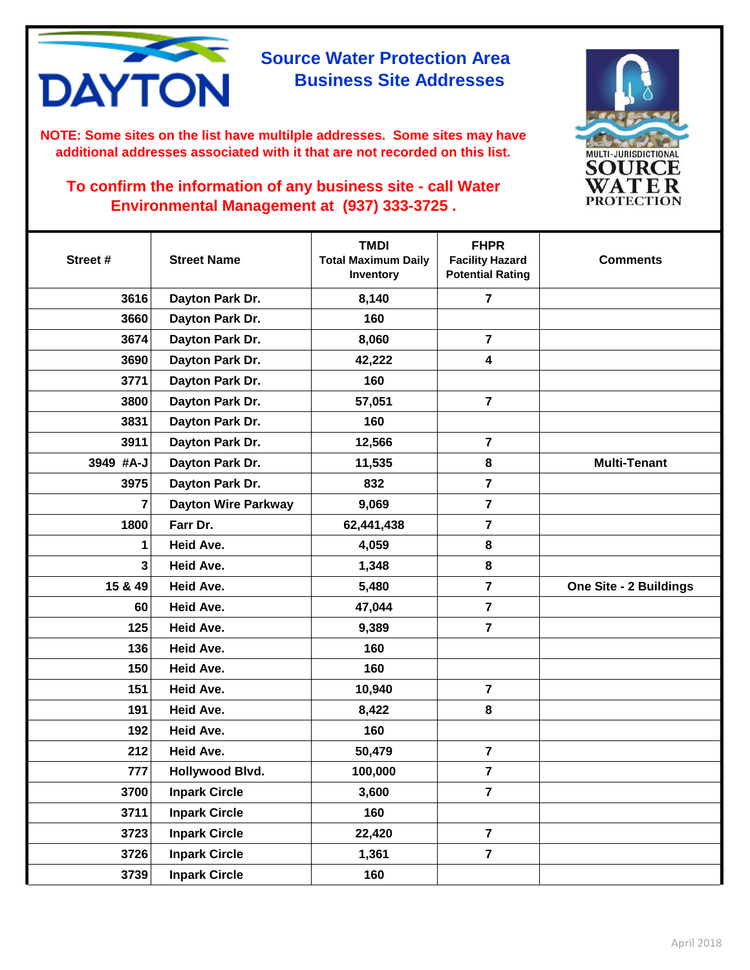

**NOTE: Some sites on the list have multilple addresses. Some sites may have additional addresses associated with it that are not recorded on this list.** 



| Street #       | <b>Street Name</b>         | <b>TMDI</b><br><b>Total Maximum Daily</b><br>Inventory | <b>FHPR</b><br><b>Facility Hazard</b><br><b>Potential Rating</b> | <b>Comments</b>               |
|----------------|----------------------------|--------------------------------------------------------|------------------------------------------------------------------|-------------------------------|
| 3616           | Dayton Park Dr.            | 8,140                                                  | $\overline{7}$                                                   |                               |
| 3660           | Dayton Park Dr.            | 160                                                    |                                                                  |                               |
| 3674           | Dayton Park Dr.            | 8,060                                                  | $\overline{7}$                                                   |                               |
| 3690           | Dayton Park Dr.            | 42,222                                                 | $\overline{\mathbf{4}}$                                          |                               |
| 3771           | Dayton Park Dr.            | 160                                                    |                                                                  |                               |
| 3800           | Dayton Park Dr.            | 57,051                                                 | $\overline{7}$                                                   |                               |
| 3831           | Dayton Park Dr.            | 160                                                    |                                                                  |                               |
| 3911           | Dayton Park Dr.            | 12,566                                                 | $\overline{\mathbf{r}}$                                          |                               |
| 3949 #A-J      | Dayton Park Dr.            | 11,535                                                 | 8                                                                | <b>Multi-Tenant</b>           |
| 3975           | Dayton Park Dr.            | 832                                                    | $\overline{7}$                                                   |                               |
| 7              | <b>Dayton Wire Parkway</b> | 9,069                                                  | $\overline{\mathbf{r}}$                                          |                               |
| 1800           | Farr Dr.                   | 62,441,438                                             | $\overline{7}$                                                   |                               |
| 1              | <b>Heid Ave.</b>           | 4,059                                                  | 8                                                                |                               |
| 3 <sup>1</sup> | Heid Ave.                  | 1,348                                                  | 8                                                                |                               |
| 15 & 49        | Heid Ave.                  | 5,480                                                  | 7                                                                | <b>One Site - 2 Buildings</b> |
| 60             | Heid Ave.                  | 47,044                                                 | $\overline{7}$                                                   |                               |
| 125            | <b>Heid Ave.</b>           | 9,389                                                  | $\overline{7}$                                                   |                               |
| 136            | <b>Heid Ave.</b>           | 160                                                    |                                                                  |                               |
| 150            | <b>Heid Ave.</b>           | 160                                                    |                                                                  |                               |
| 151            | <b>Heid Ave.</b>           | 10,940                                                 | $\overline{7}$                                                   |                               |
| 191            | <b>Heid Ave.</b>           | 8,422                                                  | 8                                                                |                               |
| 192            | Heid Ave.                  | 160                                                    |                                                                  |                               |
| 212            | <b>Heid Ave.</b>           | 50,479                                                 | $\overline{\mathbf{7}}$                                          |                               |
| 777            | Hollywood Blvd.            | 100,000                                                | $\overline{7}$                                                   |                               |
| 3700           | <b>Inpark Circle</b>       | 3,600                                                  | $\overline{7}$                                                   |                               |
| 3711           | <b>Inpark Circle</b>       | 160                                                    |                                                                  |                               |
| 3723           | <b>Inpark Circle</b>       | 22,420                                                 | $\overline{7}$                                                   |                               |
| 3726           | <b>Inpark Circle</b>       | 1,361                                                  | $\overline{7}$                                                   |                               |
| 3739           | <b>Inpark Circle</b>       | 160                                                    |                                                                  |                               |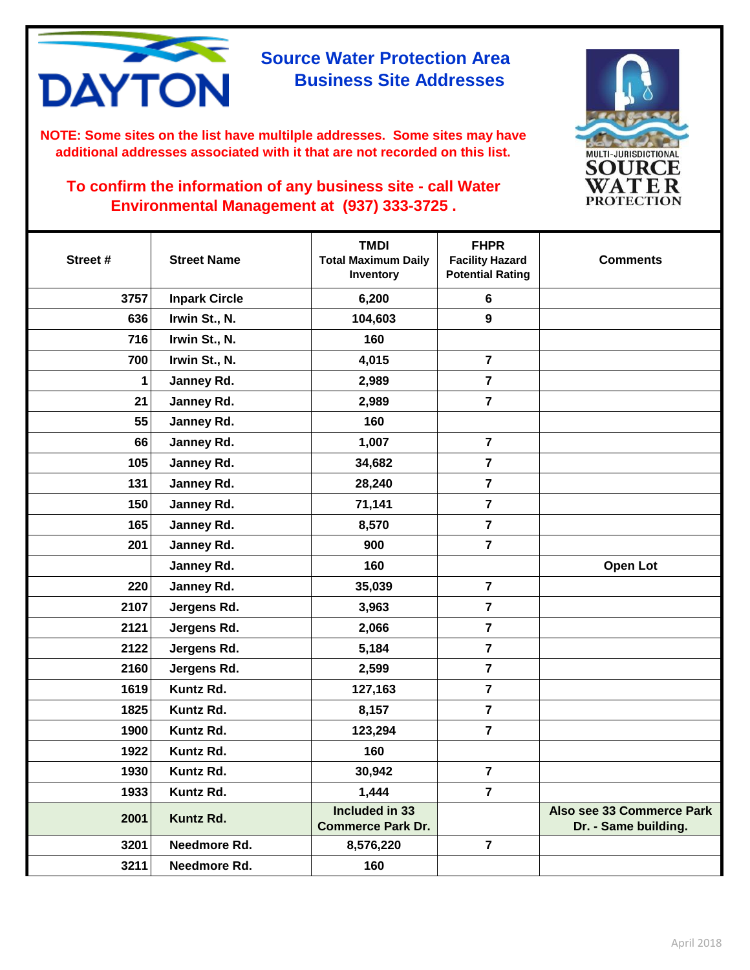

**NOTE: Some sites on the list have multilple addresses. Some sites may have additional addresses associated with it that are not recorded on this list.** 



| Street # | <b>Street Name</b>   | <b>TMDI</b><br><b>Total Maximum Daily</b><br>Inventory | <b>FHPR</b><br><b>Facility Hazard</b><br><b>Potential Rating</b> | <b>Comments</b>                                   |
|----------|----------------------|--------------------------------------------------------|------------------------------------------------------------------|---------------------------------------------------|
| 3757     | <b>Inpark Circle</b> | 6,200                                                  | 6                                                                |                                                   |
| 636      | Irwin St., N.        | 104,603                                                | $\boldsymbol{9}$                                                 |                                                   |
| 716      | Irwin St., N.        | 160                                                    |                                                                  |                                                   |
| 700      | Irwin St., N.        | 4,015                                                  | $\overline{7}$                                                   |                                                   |
| 1        | Janney Rd.           | 2,989                                                  | $\overline{7}$                                                   |                                                   |
| 21       | Janney Rd.           | 2,989                                                  | $\overline{7}$                                                   |                                                   |
| 55       | Janney Rd.           | 160                                                    |                                                                  |                                                   |
| 66       | Janney Rd.           | 1,007                                                  | $\overline{7}$                                                   |                                                   |
| 105      | Janney Rd.           | 34,682                                                 | $\overline{7}$                                                   |                                                   |
| 131      | Janney Rd.           | 28,240                                                 | $\overline{7}$                                                   |                                                   |
| 150      | Janney Rd.           | 71,141                                                 | $\overline{7}$                                                   |                                                   |
| 165      | Janney Rd.           | 8,570                                                  | $\overline{7}$                                                   |                                                   |
| 201      | Janney Rd.           | 900                                                    | $\overline{7}$                                                   |                                                   |
|          | Janney Rd.           | 160                                                    |                                                                  | <b>Open Lot</b>                                   |
| 220      | Janney Rd.           | 35,039                                                 | $\overline{7}$                                                   |                                                   |
| 2107     | Jergens Rd.          | 3,963                                                  | $\overline{7}$                                                   |                                                   |
| 2121     | Jergens Rd.          | 2,066                                                  | $\overline{7}$                                                   |                                                   |
| 2122     | Jergens Rd.          | 5,184                                                  | $\overline{7}$                                                   |                                                   |
| 2160     | Jergens Rd.          | 2,599                                                  | $\overline{7}$                                                   |                                                   |
| 1619     | Kuntz Rd.            | 127,163                                                | 7                                                                |                                                   |
| 1825     | Kuntz Rd.            | 8,157                                                  | $\overline{7}$                                                   |                                                   |
| 1900     | Kuntz Rd.            | 123,294                                                | $\overline{7}$                                                   |                                                   |
| 1922     | Kuntz Rd.            | 160                                                    |                                                                  |                                                   |
| 1930     | Kuntz Rd.            | 30,942                                                 | $\overline{7}$                                                   |                                                   |
| 1933     | Kuntz Rd.            | 1,444                                                  | $\overline{7}$                                                   |                                                   |
| 2001     | Kuntz Rd.            | Included in 33<br><b>Commerce Park Dr.</b>             |                                                                  | Also see 33 Commerce Park<br>Dr. - Same building. |
| 3201     | Needmore Rd.         | 8,576,220                                              | $\overline{7}$                                                   |                                                   |
| 3211     | Needmore Rd.         | 160                                                    |                                                                  |                                                   |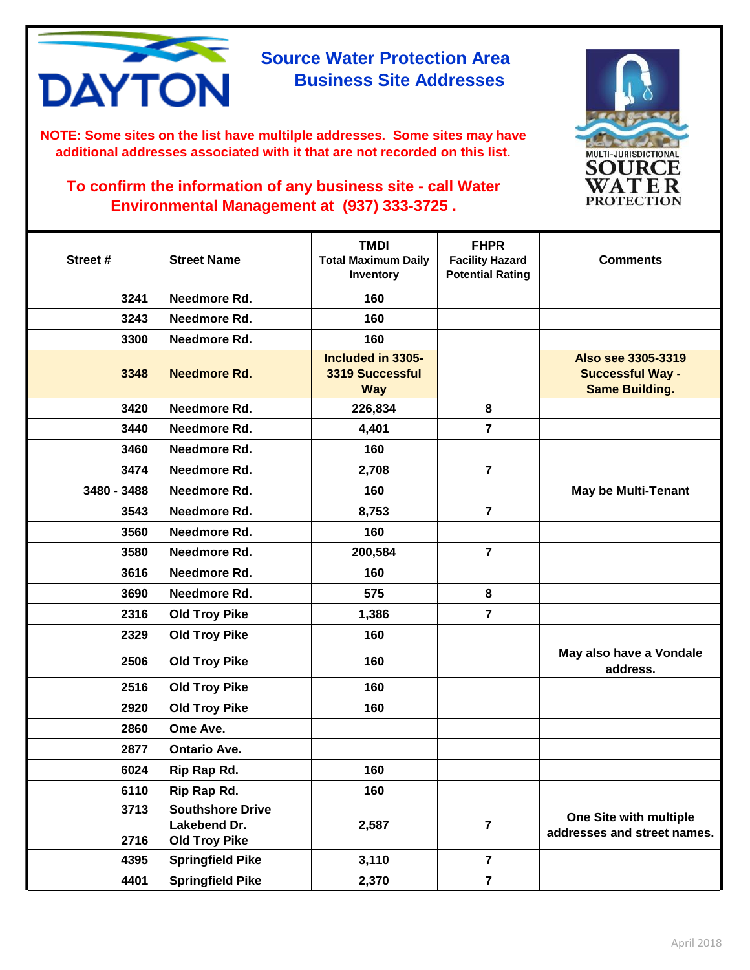

**NOTE: Some sites on the list have multilple addresses. Some sites may have additional addresses associated with it that are not recorded on this list.** 



| Street #     | <b>Street Name</b>                                              | <b>TMDI</b><br><b>Total Maximum Daily</b><br>Inventory | <b>FHPR</b><br><b>Facility Hazard</b><br><b>Potential Rating</b> | <b>Comments</b>                                                        |
|--------------|-----------------------------------------------------------------|--------------------------------------------------------|------------------------------------------------------------------|------------------------------------------------------------------------|
| 3241         | Needmore Rd.                                                    | 160                                                    |                                                                  |                                                                        |
| 3243         | Needmore Rd.                                                    | 160                                                    |                                                                  |                                                                        |
| 3300         | Needmore Rd.                                                    | 160                                                    |                                                                  |                                                                        |
| 3348         | Needmore Rd.                                                    | Included in 3305-<br>3319 Successful<br><b>Way</b>     |                                                                  | Also see 3305-3319<br><b>Successful Way -</b><br><b>Same Building.</b> |
| 3420         | Needmore Rd.                                                    | 226,834                                                | 8                                                                |                                                                        |
| 3440         | Needmore Rd.                                                    | 4,401                                                  | $\overline{7}$                                                   |                                                                        |
| 3460         | Needmore Rd.                                                    | 160                                                    |                                                                  |                                                                        |
| 3474         | Needmore Rd.                                                    | 2,708                                                  | $\overline{7}$                                                   |                                                                        |
| 3480 - 3488  | Needmore Rd.                                                    | 160                                                    |                                                                  | <b>May be Multi-Tenant</b>                                             |
| 3543         | Needmore Rd.                                                    | 8,753                                                  | $\overline{7}$                                                   |                                                                        |
| 3560         | Needmore Rd.                                                    | 160                                                    |                                                                  |                                                                        |
| 3580         | Needmore Rd.                                                    | 200,584                                                | $\overline{\mathbf{7}}$                                          |                                                                        |
| 3616         | Needmore Rd.                                                    | 160                                                    |                                                                  |                                                                        |
| 3690         | Needmore Rd.                                                    | 575                                                    | 8                                                                |                                                                        |
| 2316         | <b>Old Troy Pike</b>                                            | 1,386                                                  | $\overline{7}$                                                   |                                                                        |
| 2329         | <b>Old Troy Pike</b>                                            | 160                                                    |                                                                  |                                                                        |
| 2506         | <b>Old Troy Pike</b>                                            | 160                                                    |                                                                  | May also have a Vondale<br>address.                                    |
| 2516         | <b>Old Troy Pike</b>                                            | 160                                                    |                                                                  |                                                                        |
| 2920         | <b>Old Troy Pike</b>                                            | 160                                                    |                                                                  |                                                                        |
| 2860         | Ome Ave.                                                        |                                                        |                                                                  |                                                                        |
| 2877         | <b>Ontario Ave.</b>                                             |                                                        |                                                                  |                                                                        |
| 6024         | Rip Rap Rd.                                                     | 160                                                    |                                                                  |                                                                        |
| 6110         | Rip Rap Rd.                                                     | 160                                                    |                                                                  |                                                                        |
| 3713<br>2716 | <b>Southshore Drive</b><br>Lakebend Dr.<br><b>Old Troy Pike</b> | 2,587                                                  | $\overline{\mathbf{7}}$                                          | One Site with multiple<br>addresses and street names.                  |
| 4395         | <b>Springfield Pike</b>                                         | 3,110                                                  | $\overline{7}$                                                   |                                                                        |
| 4401         | <b>Springfield Pike</b>                                         | 2,370                                                  | $\overline{\mathbf{7}}$                                          |                                                                        |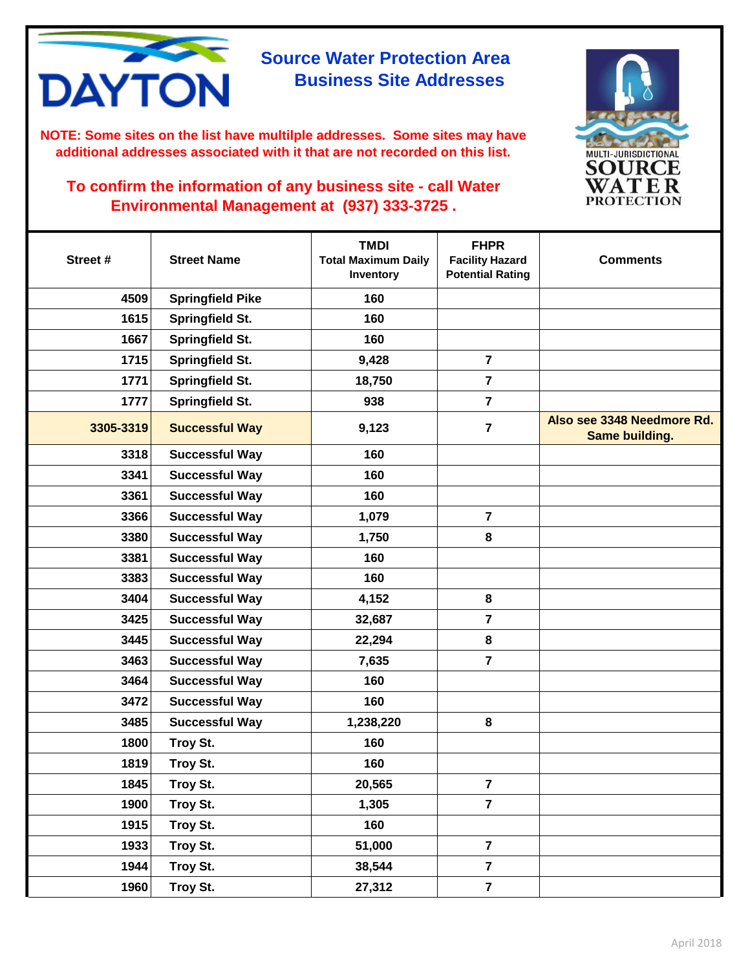

**NOTE: Some sites on the list have multilple addresses. Some sites may have additional addresses associated with it that are not recorded on this list.** 



| Street #  | <b>Street Name</b>      | <b>TMDI</b><br><b>Total Maximum Daily</b><br>Inventory | <b>FHPR</b><br><b>Facility Hazard</b><br><b>Potential Rating</b> | <b>Comments</b>                              |
|-----------|-------------------------|--------------------------------------------------------|------------------------------------------------------------------|----------------------------------------------|
| 4509      | <b>Springfield Pike</b> | 160                                                    |                                                                  |                                              |
| 1615      | <b>Springfield St.</b>  | 160                                                    |                                                                  |                                              |
| 1667      | <b>Springfield St.</b>  | 160                                                    |                                                                  |                                              |
| 1715      | Springfield St.         | 9,428                                                  | $\overline{7}$                                                   |                                              |
| 1771      | Springfield St.         | 18,750                                                 | $\overline{7}$                                                   |                                              |
| 1777      | Springfield St.         | 938                                                    | $\overline{7}$                                                   |                                              |
| 3305-3319 | <b>Successful Way</b>   | 9,123                                                  | $\overline{7}$                                                   | Also see 3348 Needmore Rd.<br>Same building. |
| 3318      | <b>Successful Way</b>   | 160                                                    |                                                                  |                                              |
| 3341      | <b>Successful Way</b>   | 160                                                    |                                                                  |                                              |
| 3361      | <b>Successful Way</b>   | 160                                                    |                                                                  |                                              |
| 3366      | <b>Successful Way</b>   | 1,079                                                  | $\overline{7}$                                                   |                                              |
| 3380      | <b>Successful Way</b>   | 1,750                                                  | 8                                                                |                                              |
| 3381      | <b>Successful Way</b>   | 160                                                    |                                                                  |                                              |
| 3383      | <b>Successful Way</b>   | 160                                                    |                                                                  |                                              |
| 3404      | <b>Successful Way</b>   | 4,152                                                  | 8                                                                |                                              |
| 3425      | <b>Successful Way</b>   | 32,687                                                 | $\overline{7}$                                                   |                                              |
| 3445      | <b>Successful Way</b>   | 22,294                                                 | 8                                                                |                                              |
| 3463      | <b>Successful Way</b>   | 7,635                                                  | $\overline{\mathbf{z}}$                                          |                                              |
| 3464      | <b>Successful Way</b>   | 160                                                    |                                                                  |                                              |
| 3472      | <b>Successful Way</b>   | 160                                                    |                                                                  |                                              |
| 3485      | <b>Successful Way</b>   | 1,238,220                                              | 8                                                                |                                              |
| 1800      | Troy St.                | 160                                                    |                                                                  |                                              |
| 1819      | Troy St.                | 160                                                    |                                                                  |                                              |
| 1845      | Troy St.                | 20,565                                                 | $\overline{7}$                                                   |                                              |
| 1900      | Troy St.                | 1,305                                                  | $\overline{\mathbf{7}}$                                          |                                              |
| 1915      | Troy St.                | 160                                                    |                                                                  |                                              |
| 1933      | Troy St.                | 51,000                                                 | $\overline{7}$                                                   |                                              |
| 1944      | Troy St.                | 38,544                                                 | $\overline{7}$                                                   |                                              |
| 1960      | Troy St.                | 27,312                                                 | $\overline{7}$                                                   |                                              |